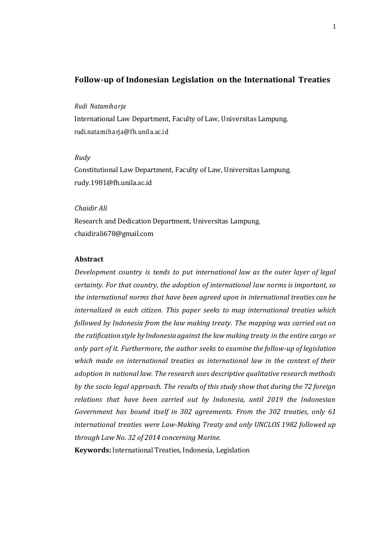# **Follow-up of Indonesian Legislation on the International Treaties**

### *Rudi Natamiharja*

International Law Department, Faculty of Law, Universitas Lampung. rudi.natamiha rja@fh.unila.ac.id

## *Rudy*

Constitutional Law Department, Faculty of Law, Universitas Lampung. rudy.1981@fh.unila.ac.id

## *Chaidir Ali*

Research and Dedication Department, Universitas Lampung. [chaidirali678@gmail.com](mailto:chaidirali678@gmail.com)

## **Abstract**

*Development country is tends to put international law as the outer layer of legal certainty. For that country, the adoption of international law norms is important, so the international norms that have been agreed upon in international treaties can be internalized in each citizen. This paper seeks to map international treaties which followed by Indonesia from the law making treaty. The mapping was carried out on the ratification style by Indonesia against the law making treaty in the entire cargo or only part of it. Furthermore, the author seeks to examine the follow-up of legislation which made on international treaties as international law in the context of their adoption in national law. The research uses descriptive qualitative research methods by the socio legal approach. The results of this study show that during the 72 foreign relations that have been carried out by Indonesia, until 2019 the Indonesian Government has bound itself in 302 agreements. From the 302 treaties, only 61 international treaties were Law-Making Treaty and only UNCLOS 1982 followed up through Law No. 32 of 2014 concerning Marine.*

**Keywords:** International Treaties, Indonesia, Legislation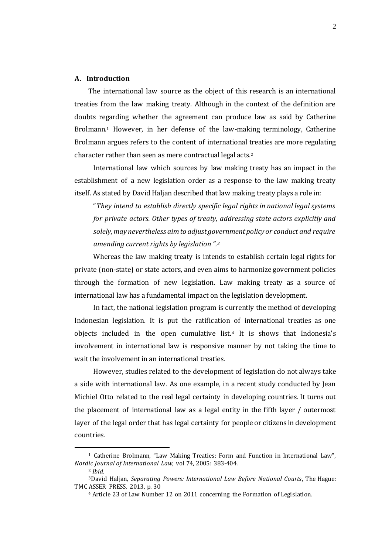### **A. Introduction**

 $\overline{a}$ 

The international law source as the object of this research is an international treaties from the law making treaty. Although in the context of the definition are doubts regarding whether the agreement can produce law as said by Catherine Brolmann.<sup>1</sup> However, in her defense of the law-making terminology, Catherine Brolmann argues refers to the content of international treaties are more regulating character rather than seen as mere contractual legal acts.<sup>2</sup>

International law which sources by law making treaty has an impact in the establishment of a new legislation order as a response to the law making treaty itself. As stated by David Haljan described that law making treaty plays a role in:

"*They intend to establish directly specific legal rights in national legal systems for private actors. Other types of treaty, addressing state actors explicitly and solely, may nevertheless aim to adjust government policy or conduct and require amending current rights by legislation ".<sup>3</sup>*

Whereas the law making treaty is intends to establish certain legal rights for private (non-state) or state actors, and even aims to harmonize government policies through the formation of new legislation. Law making treaty as a source of international law has a fundamental impact on the legislation development.

In fact, the national legislation program is currently the method of developing Indonesian legislation. It is put the ratification of international treaties as one objects included in the open cumulative list.<sup>4</sup> It is shows that Indonesia's involvement in international law is responsive manner by not taking the time to wait the involvement in an international treaties.

However, studies related to the development of legislation do not always take a side with international law. As one example, in a recent study conducted by Jean Michiel Otto related to the real legal certainty in developing countries. It turns out the placement of international law as a legal entity in the fifth layer / outermost layer of the legal order that has legal certainty for people or citizens in development countries.

<sup>1</sup> Catherine Brolmann, "Law Making Treaties: Form and Function in International Law", *Nordic Journal of International Law*, vol 74, 2005: 383-404. <sup>2</sup> *Ibid.*

<sup>3</sup>David Haljan, *Separating Powers: International Law Before National Courts*, The Hague: TMC ASSER PRESS, 2013, p. 30

<sup>4</sup> Article 23 of Law Number 12 on 2011 concerning the Formation of Legislation.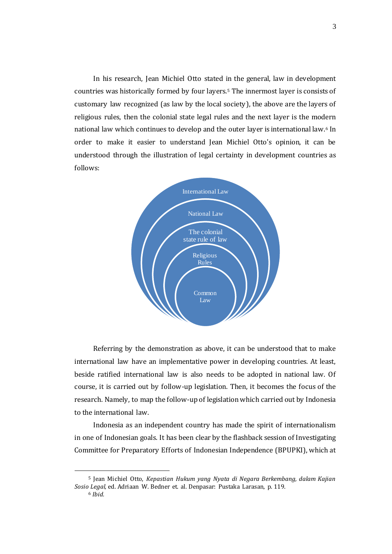In his research, Jean Michiel Otto stated in the general, law in development countries was historically formed by four layers.<sup>5</sup> The innermost layer is consists of customary law recognized (as law by the local society), the above are the layers of religious rules, then the colonial state legal rules and the next layer is the modern national law which continues to develop and the outer layer is international law.<sup>6</sup> In order to make it easier to understand Jean Michiel Otto's opinion, it can be understood through the illustration of legal certainty in development countries as follows:



Referring by the demonstration as above, it can be understood that to make international law have an implementative power in developing countries. At least, beside ratified international law is also needs to be adopted in national law. Of course, it is carried out by follow-up legislation. Then, it becomes the focus of the research. Namely, to map the follow-up of legislation which carried out by Indonesia to the international law.

Indonesia as an independent country has made the spirit of internationalism in one of Indonesian goals. It has been clear by the flashback session of Investigating Committee for Preparatory Efforts of Indonesian Independence (BPUPKI), which at

<sup>5</sup> Jean Michiel Otto, *Kepastian Hukum yang Nyata di Negara Berkembang, dalam Kajian Sosio Legal,* ed. Adriaan W. Bedner et. al. Denpasar: Pustaka Larasan, p. 119. <sup>6</sup> *Ibid.*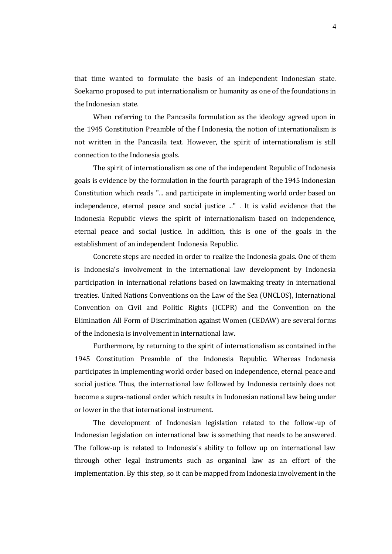that time wanted to formulate the basis of an independent Indonesian state. Soekarno proposed to put internationalism or humanity as one of the foundations in the Indonesian state.

When referring to the Pancasila formulation as the ideology agreed upon in the 1945 Constitution Preamble of the f Indonesia, the notion of internationalism is not written in the Pancasila text. However, the spirit of internationalism is still connection to the Indonesia goals.

The spirit of internationalism as one of the independent Republic of Indonesia goals is evidence by the formulation in the fourth paragraph of the 1945 Indonesian Constitution which reads "... and participate in implementing world order based on independence, eternal peace and social justice ..." . It is valid evidence that the Indonesia Republic views the spirit of internationalism based on independence, eternal peace and social justice. In addition, this is one of the goals in the establishment of an independent Indonesia Republic.

Concrete steps are needed in order to realize the Indonesia goals. One of them is Indonesia's involvement in the international law development by Indonesia participation in international relations based on lawmaking treaty in international treaties. United Nations Conventions on the Law of the Sea (UNCLOS), International Convention on Civil and Politic Rights (ICCPR) and the Convention on the Elimination All Form of Discrimination against Women (CEDAW) are several forms of the Indonesia is involvement in international law.

Furthermore, by returning to the spirit of internationalism as contained in the 1945 Constitution Preamble of the Indonesia Republic. Whereas Indonesia participates in implementing world order based on independence, eternal peace and social justice. Thus, the international law followed by Indonesia certainly does not become a supra-national order which results in Indonesian national law being under or lower in the that international instrument.

The development of Indonesian legislation related to the follow-up of Indonesian legislation on international law is something that needs to be answered. The follow-up is related to Indonesia's ability to follow up on international law through other legal instruments such as organinal law as an effort of the implementation. By this step, so it can be mapped from Indonesia involvement in the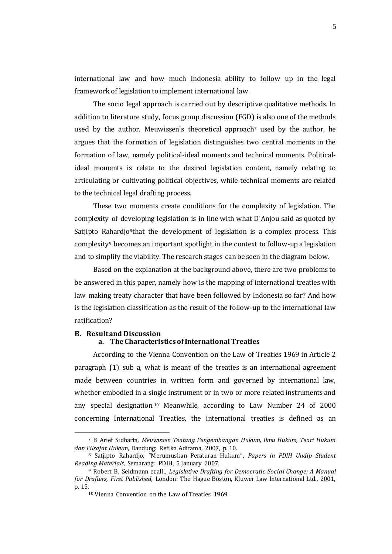international law and how much Indonesia ability to follow up in the legal framework of legislation to implement international law.

The socio legal approach is carried out by descriptive qualitative methods. In addition to literature study, focus group discussion (FGD) is also one of the methods used by the author. Meuwissen's theoretical approach<sup> $7$ </sup> used by the author, he argues that the formation of legislation distinguishes two central moments in the formation of law, namely political-ideal moments and technical moments. Politicalideal moments is relate to the desired legislation content, namely relating to articulating or cultivating political objectives, while technical moments are related to the technical legal drafting process.

These two moments create conditions for the complexity of legislation. The complexity of developing legislation is in line with what D'Anjou said as quoted by Satjipto Rahardjo<sup>8</sup>that the development of legislation is a complex process. This complexity<sup>9</sup> becomes an important spotlight in the context to follow-up a legislation and to simplify the viability. The research stages can be seen in the diagram below.

Based on the explanation at the background above, there are two problems to be answered in this paper, namely how is the mapping of international treaties with law making treaty character that have been followed by Indonesia so far? And how is the legislation classification as the result of the follow-up to the international law ratification?

### **B. Result and Discussion a. The Characteristics of International Treaties**

According to the Vienna Convention on the Law of Treaties 1969 in Article 2 paragraph (1) sub a, what is meant of the treaties is an international agreement made between countries in written form and governed by international law, whether embodied in a single instrument or in two or more related instruments and any special designation.<sup>10</sup> Meanwhile, according to Law Number 24 of 2000 concerning International Treaties, the international treaties is defined as an

<sup>7</sup> B Arief Sidharta, *Meuwissen Tentang Pengembangan Hukum, Ilmu Hukum, Teori Hukum dan Filsafat Hukum*, Bandung: Refika Aditama, 2007, p. 10.

<sup>8</sup> Satjipto Rahardjo, "Merumuskan Peraturan Hukum", *Papers in PDIH Undip Student Reading Materials,* Semarang: PDIH, 5 January 2007.

<sup>9</sup> Robert B. Seidmann et.all., *Legislative Drafting for Democratic Social Change: A Manual for Drafters, First Published,* London: The Hague Boston, Kluwer Law International Ltd., 2001, p. 15.

<sup>10</sup> Vienna Convention on the Law of Treaties 1969.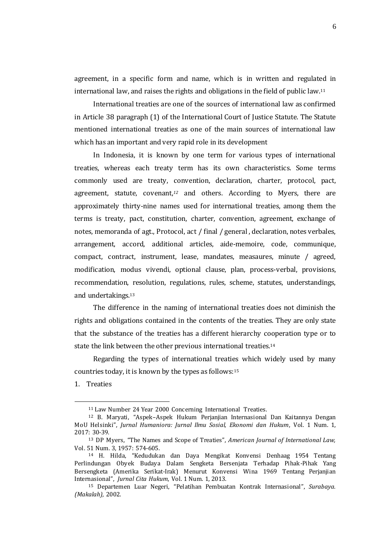agreement, in a specific form and name, which is in written and regulated in international law, and raises the rights and obligations in the field of public law.<sup>11</sup>

International treaties are one of the sources of international law as confirmed in Article 38 paragraph (1) of the International Court of Justice Statute. The Statute mentioned international treaties as one of the main sources of international law which has an important and very rapid role in its development

In Indonesia, it is known by one term for various types of international treaties, whereas each treaty term has its own characteristics. Some terms commonly used are treaty, convention, declaration, charter, protocol, pact, agreement, statute, covenant,*<sup>12</sup>* and others. According to Myers, there are approximately thirty-nine names used for international treaties, among them the terms is treaty, pact, constitution, charter, convention, agreement, exchange of notes, memoranda of agt., Protocol, act / final / general , declaration, notes verbales, arrangement, accord, additional articles, aide-memoire, code, communique, compact, contract, instrument, lease, mandates, measaures, minute / agreed, modification, modus vivendi, optional clause, plan, process-verbal, provisions, recommendation, resolution, regulations, rules, scheme, statutes, understandings, and undertakings.<sup>13</sup>

The difference in the naming of international treaties does not diminish the rights and obligations contained in the contents of the treaties. They are only state that the substance of the treaties has a different hierarchy cooperation type or to state the link between the other previous international treaties.<sup>14</sup>

Regarding the types of international treaties which widely used by many countries today, it is known by the types as follows:<sup>15</sup>

1. Treaties

<sup>11</sup> Law Number 24 Year 2000 Concerning International Treaties.

<sup>12</sup> B. Maryati, "Aspek–Aspek Hukum Perjanjian Internasional Dan Kaitannya Dengan MoU Helsinki", *Jurnal Humaniora: Jurnal Ilmu Sosial, Ekonomi dan Hukum*, Vol. 1 Num. 1, 2017: 30-39.

<sup>13</sup> DP Myers, "The Names and Scope of Treaties", *American Journal of International Law,* Vol. 51 Num. 3, 1957: 574-605.

<sup>14</sup> H. Hilda, "Kedudukan dan Daya Mengikat Konvensi Denhaag 1954 Tentang Perlindungan Obyek Budaya Dalam Sengketa Bersenjata Terhadap Pihak-Pihak Yang Bersengketa (Amerika Serikat-Irak) Menurut Konvensi Wina 1969 Tentang Perjanjian Internasional", *Jurnal Cita Hukum*, Vol. 1 Num. 1, 2013.

<sup>15</sup> Departemen Luar Negeri, "Pelatihan Pembuatan Kontrak Internasional", *Surabaya. (Makalah),* 2002.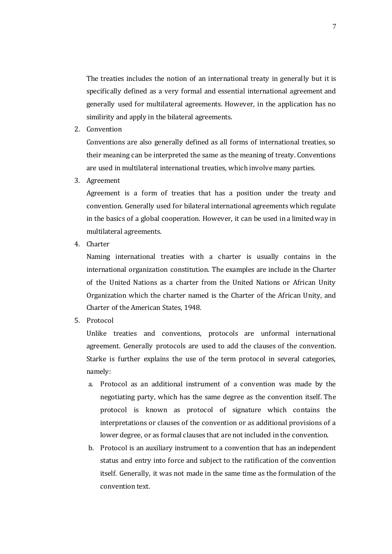The treaties includes the notion of an international treaty in generally but it is specifically defined as a very formal and essential international agreement and generally used for multilateral agreements. However, in the application has no similirity and apply in the bilateral agreements.

2. Convention

Conventions are also generally defined as all forms of international treaties, so their meaning can be interpreted the same as the meaning of treaty. Conventions are used in multilateral international treaties, which involve many parties.

3. Agreement

Agreement is a form of treaties that has a position under the treaty and convention. Generally used for bilateral international agreements which regulate in the basics of a global cooperation. However, it can be used in a limited way in multilateral agreements.

4. Charter

Naming international treaties with a charter is usually contains in the international organization constitution. The examples are include in the Charter of the United Nations as a charter from the United Nations or African Unity Organization which the charter named is the Charter of the African Unity, and Charter of the American States, 1948.

5. Protocol

Unlike treaties and conventions, protocols are unformal international agreement. Generally protocols are used to add the clauses of the convention. Starke is further explains the use of the term protocol in several categories, namely:

- a. Protocol as an additional instrument of a convention was made by the negotiating party, which has the same degree as the convention itself. The protocol is known as protocol of signature which contains the interpretations or clauses of the convention or as additional provisions of a lower degree, or as formal clauses that are not included in the convention.
- b. Protocol is an auxiliary instrument to a convention that has an independent status and entry into force and subject to the ratification of the convention itself. Generally, it was not made in the same time as the formulation of the convention text.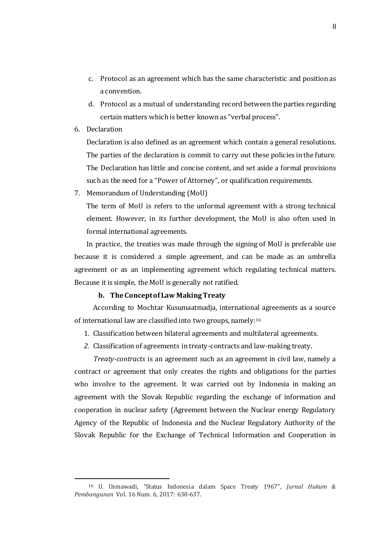- c. Protocol as an agreement which has the same characteristic and position as a convention.
- d. Protocol as a mutual of understanding record between the parties regarding certain matters which is better known as "verbal process".
- 6. Declaration

 $\overline{a}$ 

Declaration is also defined as an agreement which contain a general resolutions. The parties of the declaration is commit to carry out these policies in the future. The Declaration has little and concise content, and set aside a formal provisions such as the need for a "Power of Attorney", or qualification requirements.

7. Memorandum of Understanding (MoU)

The term of MoU is refers to the unformal agreement with a strong technical element. However, in its further development, the MoU is also often used in formal international agreements.

In practice, the treaties was made through the signing of MoU is preferable use because it is considered a simple agreement, and can be made as an umbrella agreement or as an implementing agreement which regulating technical matters. Because it is simple, the MoU is generally not ratified.

#### **b. The Concept of Law Making Treaty**

According to Mochtar Kusumaatmadja, international agreements as a source of international law are classified into two groups, namely:<sup>16</sup>

- 1. Classification between bilateral agreements and multilateral agreements.
- *2.* Classification of agreements in treaty-contracts and law-making treaty.

*Treaty-contracts* is an agreement such as an agreement in civil law, namely a contract or agreement that only creates the rights and obligations for the parties who involve to the agreement. It was carried out by Indonesia in making an agreement with the Slovak Republic regarding the exchange of information and cooperation in nuclear safety (Agreement between the Nuclear energy Regulatory Agency of the Republic of Indonesia and the Nuclear Regulatory Authority of the Slovak Republic for the Exchange of Technical Information and Cooperation in

<sup>16</sup> U. Usmawadi, "Status Indonesia dalam Space Treaty 1967", *Jurnal Hukum & Pembangunan* Vol. 16 Num. 6, 2017: 630-637.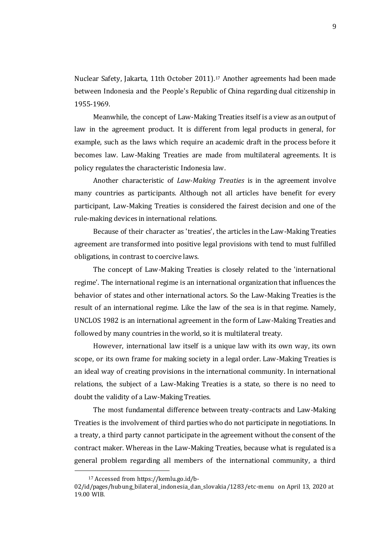Nuclear Safety, Jakarta, 11th October 2011).<sup>17</sup> Another agreements had been made between Indonesia and the People's Republic of China regarding dual citizenship in 1955-1969.

Meanwhile, the concept of Law-Making Treaties itself is a view as an output of law in the agreement product. It is different from legal products in general, for example, such as the laws which require an academic draft in the process before it becomes law. Law-Making Treaties are made from multilateral agreements. It is policy regulates the characteristic Indonesia law.

Another characteristic of *Law-Making Treaties* is in the agreement involve many countries as participants. Although not all articles have benefit for every participant, Law-Making Treaties is considered the fairest decision and one of the rule-making devices in international relations.

Because of their character as 'treaties', the articles in the Law-Making Treaties agreement are transformed into positive legal provisions with tend to must fulfilled obligations, in contrast to coercive laws.

The concept of Law-Making Treaties is closely related to the 'international regime'. The international regime is an international organization that influences the behavior of states and other international actors. So the Law-Making Treaties is the result of an international regime. Like the law of the sea is in that regime. Namely, UNCLOS 1982 is an international agreement in the form of Law-Making Treaties and followed by many countries in the world, so it is multilateral treaty.

However, international law itself is a unique law with its own way, its own scope, or its own frame for making society in a legal order. Law-Making Treaties is an ideal way of creating provisions in the international community. In international relations, the subject of a Law-Making Treaties is a state, so there is no need to doubt the validity of a Law-Making Treaties.

The most fundamental difference between treaty-contracts and Law-Making Treaties is the involvement of third parties who do not participate in negotiations. In a treaty, a third party cannot participate in the agreement without the consent of the contract maker. Whereas in the Law-Making Treaties, because what is regulated is a general problem regarding all members of the international community, a third

<sup>17</sup> Accessed from [https://kemlu.go.id/b-](https://kemlu.go.id/b-02/id/pages/hubung_bilateral_indonesia_dan_slovakia/1283/etc-menu)

[<sup>02/</sup>id/pages/hubung\\_bilateral\\_indonesia\\_dan\\_slovakia/1283/etc-menu](https://kemlu.go.id/b-02/id/pages/hubung_bilateral_indonesia_dan_slovakia/1283/etc-menu) on April 13, 2020 at 19.00 WIB.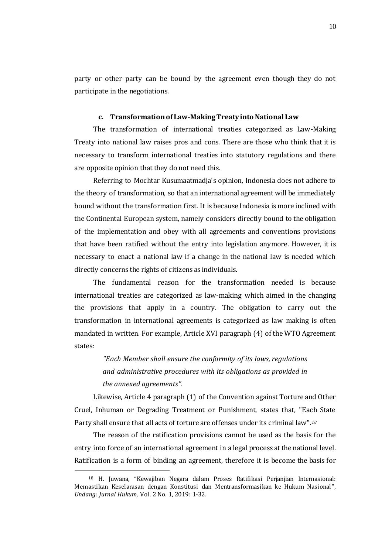party or other party can be bound by the agreement even though they do not participate in the negotiations.

### **c. Transformation of Law-Making Treaty into National Law**

The transformation of international treaties categorized as Law-Making Treaty into national law raises pros and cons. There are those who think that it is necessary to transform international treaties into statutory regulations and there are opposite opinion that they do not need this.

Referring to Mochtar Kusumaatmadja's opinion, Indonesia does not adhere to the theory of transformation, so that an international agreement will be immediately bound without the transformation first. It is because Indonesia is more inclined with the Continental European system, namely considers directly bound to the obligation of the implementation and obey with all agreements and conventions provisions that have been ratified without the entry into legislation anymore. However, it is necessary to enact a national law if a change in the national law is needed which directly concerns the rights of citizens as individuals.

The fundamental reason for the transformation needed is because international treaties are categorized as law-making which aimed in the changing the provisions that apply in a country. The obligation to carry out the transformation in international agreements is categorized as law making is often mandated in written. For example, Article XVI paragraph (4) of the WTO Agreement states:

> *"Each Member shall ensure the conformity of its laws, regulations and administrative procedures with its obligations as provided in the annexed agreements".*

Likewise, Article 4 paragraph (1) of the Convention against Torture and Other Cruel, Inhuman or Degrading Treatment or Punishment, states that, "Each State Party shall ensure that all acts of torture are offenses under its criminal law".*<sup>18</sup>*

The reason of the ratification provisions cannot be used as the basis for the entry into force of an international agreement in a legal process at the national level. Ratification is a form of binding an agreement, therefore it is become the basis for

<sup>18</sup> H. Juwana, "Kewajiban Negara dalam Proses Ratifikasi Perjanjian Internasional: Memastikan Keselarasan dengan Konstitusi dan Mentransformasikan ke Hukum Nasional", *Undang: Jurnal Hukum,* Vol. 2 No. 1, 2019: 1-32.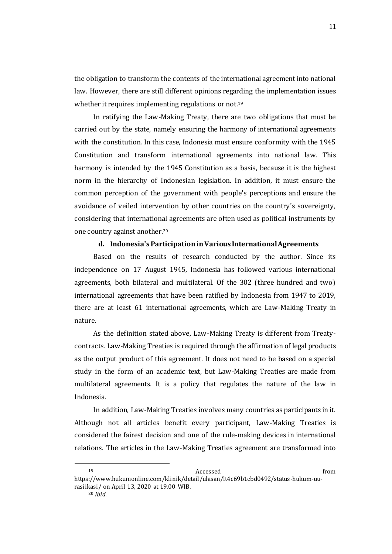the obligation to transform the contents of the international agreement into national law. However, there are still different opinions regarding the implementation issues whether it requires implementing regulations or not.<sup>19</sup>

In ratifying the Law-Making Treaty, there are two obligations that must be carried out by the state, namely ensuring the harmony of international agreements with the constitution. In this case, Indonesia must ensure conformity with the 1945 Constitution and transform international agreements into national law. This harmony is intended by the 1945 Constitution as a basis, because it is the highest norm in the hierarchy of Indonesian legislation. In addition, it must ensure the common perception of the government with people's perceptions and ensure the avoidance of veiled intervention by other countries on the country's sovereignty, considering that international agreements are often used as political instruments by one country against another.<sup>20</sup>

#### **d. Indonesia's Participation in Various International Agreements**

Based on the results of research conducted by the author. Since its independence on 17 August 1945, Indonesia has followed various international agreements, both bilateral and multilateral. Of the 302 (three hundred and two) international agreements that have been ratified by Indonesia from 1947 to 2019, there are at least 61 international agreements, which are Law-Making Treaty in nature.

As the definition stated above, Law-Making Treaty is different from Treatycontracts. Law-Making Treaties is required through the affirmation of legal products as the output product of this agreement. It does not need to be based on a special study in the form of an academic text, but Law-Making Treaties are made from multilateral agreements. It is a policy that regulates the nature of the law in Indonesia.

In addition, Law-Making Treaties involves many countries as participants in it. Although not all articles benefit every participant, Law-Making Treaties is considered the fairest decision and one of the rule-making devices in international relations. The articles in the Law-Making Treaties agreement are transformed into

 $\overline{a}$ 

<sup>20</sup> *Ibid.*

<sup>19</sup> Accessed from the Accessed from  $\alpha$ 

https://www.hukumonline.com/klinik/detail/ulasan/lt4c69b1cbd0492/status-hukum-uurasiikasi/ on April 13, 2020 at 19.00 WIB.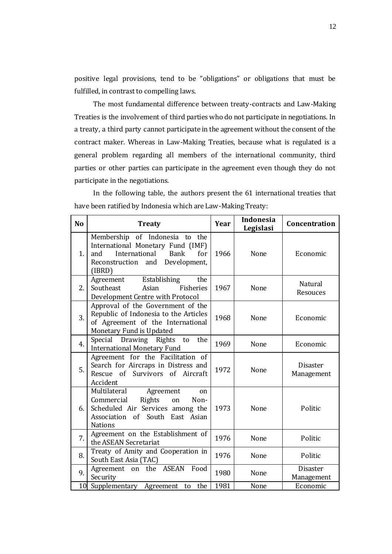positive legal provisions, tend to be "obligations" or obligations that must be fulfilled, in contrast to compelling laws.

The most fundamental difference between treaty-contracts and Law-Making Treaties is the involvement of third parties who do not participate in negotiations. In a treaty, a third party cannot participate in the agreement without the consent of the contract maker. Whereas in Law-Making Treaties, because what is regulated is a general problem regarding all members of the international community, third parties or other parties can participate in the agreement even though they do not participate in the negotiations.

In the following table, the authors present the 61 international treaties that have been ratified by Indonesia which are Law-Making Treaty:

| N <sub>o</sub>  | <b>Treaty</b>                                                                                                                                                  | Year | <b>Indonesia</b><br>Legislasi | Concentration                 |
|-----------------|----------------------------------------------------------------------------------------------------------------------------------------------------------------|------|-------------------------------|-------------------------------|
| 1.              | Membership of Indonesia to the<br>International Monetary Fund (IMF)<br>International<br>and<br><b>Bank</b><br>for<br>Reconstruction and Development,<br>(IBRD) | 1966 | None                          | Economic                      |
| 2.              | Establishing<br>Agreement<br>the<br>Southeast<br>Asian<br><b>Fisheries</b><br>Development Centre with Protocol                                                 | 1967 | None                          | Natural<br>Resouces           |
| 3.              | Approval of the Government of the<br>Republic of Indonesia to the Articles<br>of Agreement of the International<br>Monetary Fund is Updated                    | 1968 | None                          | Economic                      |
| 4.              | Special Drawing Rights to<br>the<br><b>International Monetary Fund</b>                                                                                         | 1969 | None                          | Economic                      |
| 5.              | Agreement for the Facilitation of<br>Search for Aircraps in Distress and<br>Survivors of Aircraft<br>Rescue of<br>Accident                                     | 1972 | None                          | <b>Disaster</b><br>Management |
| 6.              | Multilateral<br>Agreement<br>on<br>Rights<br>Commercial<br>on<br>Non-<br>Scheduled Air Services among the<br>Association of South East Asian<br><b>Nations</b> | 1973 | None                          | Politic                       |
| 7.              | Agreement on the Establishment of<br>the ASEAN Secretariat                                                                                                     | 1976 | None                          | Politic                       |
| 8.              | Treaty of Amity and Cooperation in<br>South East Asia (TAC)                                                                                                    | 1976 | None                          | Politic                       |
| 9.              | on the ASEAN<br>Food<br>Agreement<br>Security                                                                                                                  | 1980 | None                          | <b>Disaster</b><br>Management |
| 10 <sup>l</sup> | Supplementary<br>the<br>Agreement<br>to                                                                                                                        | 1981 | None                          | Economic                      |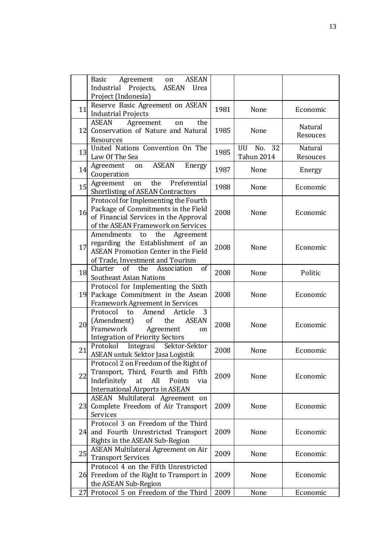|    | <b>ASEAN</b><br>Agreement<br>Basic<br>on                                                                                                                                 |      |                   |                     |
|----|--------------------------------------------------------------------------------------------------------------------------------------------------------------------------|------|-------------------|---------------------|
|    | Industrial Projects,<br>ASEAN<br>Urea<br>Project (Indonesia)                                                                                                             |      |                   |                     |
|    | Reserve Basic Agreement on ASEAN                                                                                                                                         |      |                   |                     |
| 11 | <b>Industrial Projects</b>                                                                                                                                               | 1981 | None              | Economic            |
|    | <b>ASEAN</b><br>Agreement<br>the<br>on                                                                                                                                   |      |                   |                     |
|    | 12 Conservation of Nature and Natural<br>Resources                                                                                                                       | 1985 | None              | Natural<br>Resouces |
|    | United Nations Convention On The                                                                                                                                         |      | UU<br>No. 32      | <b>Natural</b>      |
| 13 | Law Of The Sea                                                                                                                                                           | 1985 | <b>Tahun 2014</b> | Resouces            |
| 14 | <b>ASEAN</b><br>Agreement<br>Energy<br>on<br>Cooperation                                                                                                                 | 1987 | None              | Energy              |
| 15 | Preferential<br>the<br>Agreement<br>on<br><b>Shortlisting of ASEAN Contractors</b>                                                                                       | 1988 | None              | Economic            |
| 16 | Protocol for Implementing the Fourth<br>Package of Commitments in the Field<br>of Financial Services in the Approval<br>of the ASEAN Framework on Services               | 2008 | None              | Economic            |
| 17 | Amendments<br>the<br>Agreement<br>to<br>regarding the Establishment of an<br><b>ASEAN Promotion Center in the Field</b><br>of Trade, Investment and Tourism              | 2008 | None              | Economic            |
| 18 | the<br>Charter<br>of<br>Association<br>of<br><b>Southeast Asian Nations</b>                                                                                              | 2008 | None              | Politic             |
|    | Protocol for Implementing the Sixth<br>19 Package Commitment in the Asean<br><b>Framework Agreement in Services</b>                                                      | 2008 | None              | Economic            |
| 20 | Protocol<br>Amend<br>Article<br>3<br>to<br>(Amendment)<br><sub>of</sub><br>the<br><b>ASEAN</b><br>Framework<br>Agreement<br>on<br><b>Integration of Priority Sectors</b> | 2008 | None              | Economic            |
| 21 | Protokol Integrasi<br>Sektor-Sektor<br>ASEAN untuk Sektor Jasa Logistik                                                                                                  | 2008 | None              | Economic            |
| 22 | Protocol 2 on Freedom of the Right of<br>Transport, Third, Fourth and Fifth<br>Indefinitely<br>at<br>All<br>Points<br>via<br><b>International Airports in ASEAN</b>      | 2009 | None              | Economic            |
|    | ASEAN Multilateral Agreement on<br>23 Complete Freedom of Air Transport<br>Services                                                                                      | 2009 | None              | Economic            |
|    | Protocol 3 on Freedom of the Third<br>24 and Fourth Unrestricted Transport<br>Rights in the ASEAN Sub-Region                                                             | 2009 | None              | Economic            |
| 25 | <b>ASEAN Multilateral Agreement on Air</b><br><b>Transport Services</b>                                                                                                  | 2009 | None              | Economic            |
|    | Protocol 4 on the Fifth Unrestricted<br>26 Freedom of the Right to Transport in<br>the ASEAN Sub-Region                                                                  | 2009 | None              | Economic            |
|    | 27 Protocol 5 on Freedom of the Third                                                                                                                                    | 2009 | None              | Economic            |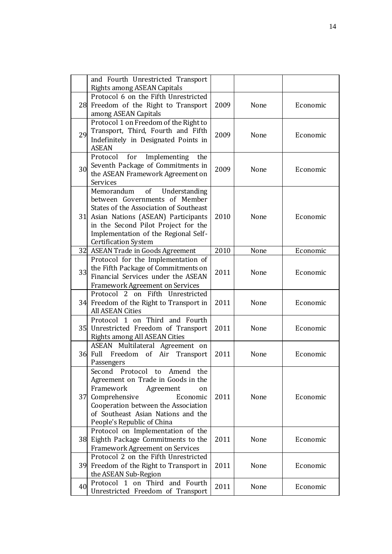|    | and Fourth Unrestricted Transport<br><b>Rights among ASEAN Capitals</b>                                                                                                                                                                                             |      |      |          |
|----|---------------------------------------------------------------------------------------------------------------------------------------------------------------------------------------------------------------------------------------------------------------------|------|------|----------|
|    | Protocol 6 on the Fifth Unrestricted<br>28 Freedom of the Right to Transport<br>among ASEAN Capitals                                                                                                                                                                | 2009 | None | Economic |
| 29 | Protocol 1 on Freedom of the Right to<br>Transport, Third, Fourth and Fifth<br>Indefinitely in Designated Points in<br><b>ASEAN</b>                                                                                                                                 | 2009 | None | Economic |
| 30 | for<br>Implementing<br>Protocol<br>the<br>Seventh Package of Commitments in<br>the ASEAN Framework Agreement on<br>Services                                                                                                                                         | 2009 | None | Economic |
|    | of<br>Memorandum<br>Understanding<br>between Governments of Member<br>States of the Association of Southeast<br>31 Asian Nations (ASEAN) Participants<br>in the Second Pilot Project for the<br>Implementation of the Regional Self-<br><b>Certification System</b> | 2010 | None | Economic |
|    | 32 ASEAN Trade in Goods Agreement                                                                                                                                                                                                                                   | 2010 | None | Economic |
| 33 | Protocol for the Implementation of<br>the Fifth Package of Commitments on<br>Financial Services under the ASEAN<br><b>Framework Agreement on Services</b>                                                                                                           | 2011 | None | Economic |
|    | Protocol 2 on Fifth Unrestricted<br>34 Freedom of the Right to Transport in<br><b>All ASEAN Cities</b>                                                                                                                                                              | 2011 | None | Economic |
|    | Protocol 1 on Third and Fourth<br>35 Unrestricted Freedom of Transport<br><b>Rights among All ASEAN Cities</b>                                                                                                                                                      | 2011 | None | Economic |
|    | ASEAN Multilateral Agreement on<br>36 Full<br>Freedom<br>of<br>Air<br>Transport<br>Passengers                                                                                                                                                                       | 2011 | None | Economic |
|    | Second<br>Protocol to<br>Amend<br>the<br>Agreement on Trade in Goods in the<br>Framework<br>Agreement<br>on<br>37 Comprehensive<br>Economic<br>Cooperation between the Association<br>of Southeast Asian Nations and the<br>People's Republic of China              | 2011 | None | Economic |
|    | Protocol on Implementation of the<br>38 Eighth Package Commitments to the<br><b>Framework Agreement on Services</b>                                                                                                                                                 | 2011 | None | Economic |
|    | Protocol 2 on the Fifth Unrestricted<br>39 Freedom of the Right to Transport in<br>the ASEAN Sub-Region                                                                                                                                                             | 2011 | None | Economic |
| 40 | Protocol 1 on Third and Fourth<br>Unrestricted Freedom of Transport                                                                                                                                                                                                 | 2011 | None | Economic |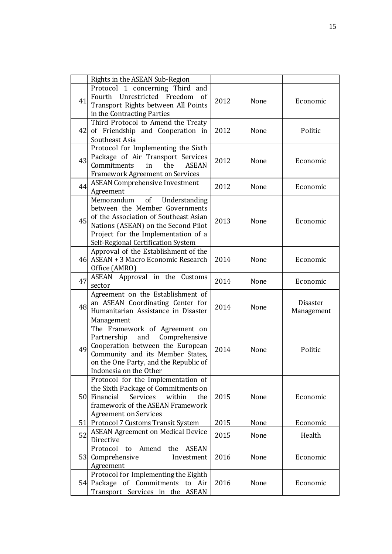|    | Rights in the ASEAN Sub-Region                                                                                                                                                                                                |      |      |                        |
|----|-------------------------------------------------------------------------------------------------------------------------------------------------------------------------------------------------------------------------------|------|------|------------------------|
| 41 | Protocol 1 concerning Third and<br>Fourth Unrestricted Freedom of<br>Transport Rights between All Points<br>in the Contracting Parties                                                                                        | 2012 | None | Economic               |
|    | Third Protocol to Amend the Treaty<br>42 of Friendship and Cooperation in<br>Southeast Asia                                                                                                                                   | 2012 | None | Politic                |
| 43 | Protocol for Implementing the Sixth<br>Package of Air Transport Services<br>Commitments<br>the<br><b>ASEAN</b><br>in<br><b>Framework Agreement on Services</b>                                                                | 2012 | None | Economic               |
| 44 | <b>ASEAN Comprehensive Investment</b><br>Agreement                                                                                                                                                                            | 2012 | None | Economic               |
| 45 | of Understanding<br>Memorandum<br>between the Member Governments<br>of the Association of Southeast Asian<br>Nations (ASEAN) on the Second Pilot<br>Project for the Implementation of a<br>Self-Regional Certification System | 2013 | None | Economic               |
|    | Approval of the Establishment of the<br>46 ASEAN + 3 Macro Economic Research<br>Office (AMRO)                                                                                                                                 | 2014 | None | Economic               |
| 47 | ASEAN Approval in the Customs<br>sector                                                                                                                                                                                       | 2014 | None | Economic               |
| 48 | Agreement on the Establishment of<br>an ASEAN Coordinating Center for<br>Humanitarian Assistance in Disaster<br>Management                                                                                                    | 2014 | None | Disaster<br>Management |
| 49 | The Framework of Agreement on<br>Partnership<br>and<br>Comprehensive<br>Cooperation between the European<br>Community and its Member States,<br>on the One Party, and the Republic of<br>Indonesia on the Other               | 2014 | None | Politic                |
|    | Protocol for the Implementation of<br>the Sixth Package of Commitments on<br>50 Financial<br>Services<br>within<br>the<br>framework of the ASEAN Framework<br><b>Agreement on Services</b>                                    | 2015 | None | Economic               |
|    | 51 Protocol 7 Customs Transit System                                                                                                                                                                                          | 2015 | None | Economic               |
| 52 | <b>ASEAN Agreement on Medical Device</b><br>Directive                                                                                                                                                                         | 2015 | None | Health                 |
|    | Amend<br>Protocol to<br>the<br><b>ASEAN</b><br>53 Comprehensive<br>Investment<br>Agreement                                                                                                                                    | 2016 | None | Economic               |
|    | Protocol for Implementing the Eighth<br>54 Package of Commitments to Air<br>Transport Services in the ASEAN                                                                                                                   | 2016 | None | Economic               |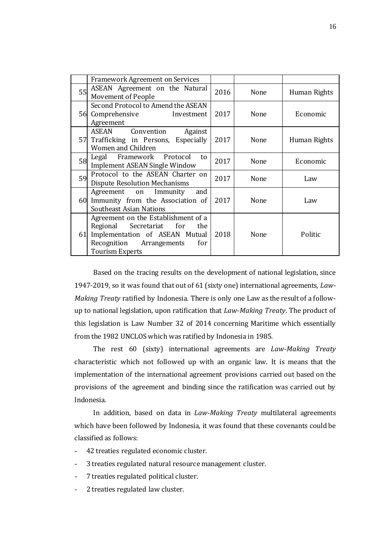| <b>Framework Agreement on Services</b>                                                                                                                     |                    |      |              |
|------------------------------------------------------------------------------------------------------------------------------------------------------------|--------------------|------|--------------|
| ASEAN Agreement on the Natural<br>55<br>Movement of People                                                                                                 | 2016               | None | Human Rights |
| Second Protocol to Amend the ASEAN<br>56 Comprehensive<br>Investment<br>Agreement                                                                          | 2017               | None | Economic     |
| ASEAN<br>Convention<br>Against<br>57 Trafficking in Persons, Especially<br>Women and Children                                                              | 2017               | None | Human Rights |
| Legal Framework Protocol<br>58<br>Implement ASEAN Single Window                                                                                            | to<br>2017         | None | Economic     |
| Protocol to the ASEAN Charter on<br>59<br><b>Dispute Resolution Mechanisms</b>                                                                             | 2017               | None | Law          |
| Agreement on Immunity<br>60 Immunity from the Association of<br>Southeast Asian Nations                                                                    | and<br>2017        | None | Law          |
| Agreement on the Establishment of a<br>Regional Secretariat for<br>61 Implementation of ASEAN Mutual<br>Recognition Arrangements<br><b>Tourism Experts</b> | the<br>2018<br>for | None | Politic      |

Based on the tracing results on the development of national legislation, since 1947-2019, so it was found that out of 61 (sixty one) international agreements, *Law-Making Treaty* ratified by Indonesia. There is only one Law as the result of a followup to national legislation, upon ratification that *Law-Making Treaty*. The product of this legislation is Law Number 32 of 2014 concerning Maritime which essentially from the 1982 UNCLOS which was ratified by Indonesia in 1985.

The rest 60 (sixty) international agreements are *Law-Making Treaty*  characteristic which not followed up with an organic law. It is means that the implementation of the international agreement provisions carried out based on the provisions of the agreement and binding since the ratification was carried out by Indonesia.

In addition, based on data in *Law-Making Treaty* multilateral agreements which have been followed by Indonesia, it was found that these covenants could be classified as follows:

- 42 treaties regulated economic cluster.
- 3 treaties regulated natural resource management cluster.
- 7 treaties regulated political cluster.
- 2 treaties regulated law cluster.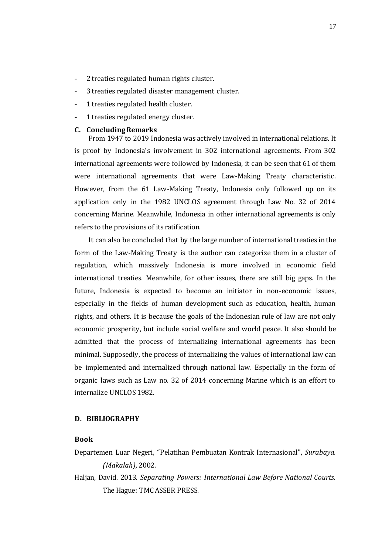- 2 treaties regulated human rights cluster.
- 3 treaties regulated disaster management cluster.
- 1 treaties regulated health cluster.
- 1 treaties regulated energy cluster.

#### **C. Concluding Remarks**

From 1947 to 2019 Indonesia was actively involved in international relations. It is proof by Indonesia's involvement in 302 international agreements. From 302 international agreements were followed by Indonesia, it can be seen that 61 of them were international agreements that were Law-Making Treaty characteristic. However, from the 61 Law-Making Treaty, Indonesia only followed up on its application only in the 1982 UNCLOS agreement through Law No. 32 of 2014 concerning Marine. Meanwhile, Indonesia in other international agreements is only refers to the provisions of its ratification.

It can also be concluded that by the large number of international treaties in the form of the Law-Making Treaty is the author can categorize them in a cluster of regulation, which massively Indonesia is more involved in economic field international treaties. Meanwhile, for other issues, there are still big gaps. In the future, Indonesia is expected to become an initiator in non-economic issues, especially in the fields of human development such as education, health, human rights, and others. It is because the goals of the Indonesian rule of law are not only economic prosperity, but include social welfare and world peace. It also should be admitted that the process of internalizing international agreements has been minimal. Supposedly, the process of internalizing the values of international law can be implemented and internalized through national law. Especially in the form of organic laws such as Law no. 32 of 2014 concerning Marine which is an effort to internalize UNCLOS 1982.

#### **D. BIBLIOGRAPHY**

#### **Book**

- Departemen Luar Negeri, "Pelatihan Pembuatan Kontrak Internasional", *Surabaya. (Makalah),* 2002.
- Haljan, David. 2013. *Separating Powers: International Law Before National Courts.* The Hague: TMC ASSER PRESS.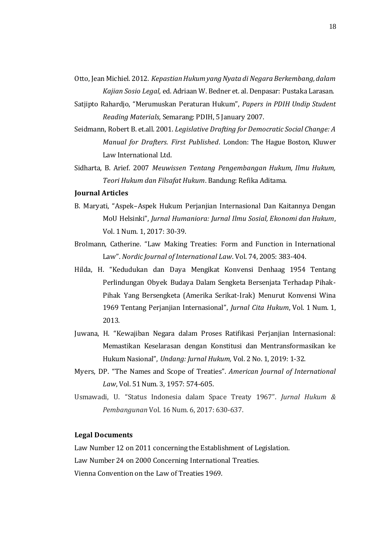Otto, Jean Michiel. 2012. *Kepastian Hukum yang Nyata di Negara Berkembang, dalam Kajian Sosio Legal,* ed. Adriaan W. Bedner et. al. Denpasar: Pustaka Larasan.

- Satjipto Rahardjo, "Merumuskan Peraturan Hukum", *Papers in PDIH Undip Student Reading Materials,* Semarang: PDIH, 5 January 2007.
- Seidmann, Robert B. et.all. 2001. *Legislative Drafting for Democratic Social Change: A Manual for Drafters. First Published*. London: The Hague Boston, Kluwer Law International Ltd.
- Sidharta, B. Arief. 2007 *Meuwissen Tentang Pengembangan Hukum, Ilmu Hukum, Teori Hukum dan Filsafat Hukum*. Bandung: Refika Aditama.

## **Journal Articles**

- B. Maryati, "Aspek–Aspek Hukum Perjanjian Internasional Dan Kaitannya Dengan MoU Helsinki", *Jurnal Humaniora: Jurnal Ilmu Sosial, Ekonomi dan Hukum*, Vol. 1 Num. 1, 2017: 30-39.
- Brolmann, Catherine. "Law Making Treaties: Form and Function in International Law". *Nordic Journal of International Law*. Vol. 74, 2005: 383-404.
- Hilda, H. "Kedudukan dan Daya Mengikat Konvensi Denhaag 1954 Tentang Perlindungan Obyek Budaya Dalam Sengketa Bersenjata Terhadap Pihak-Pihak Yang Bersengketa (Amerika Serikat-Irak) Menurut Konvensi Wina 1969 Tentang Perjanjian Internasional", *Jurnal Cita Hukum*, Vol. 1 Num. 1, 2013.
- Juwana, H. "Kewajiban Negara dalam Proses Ratifikasi Perjanjian Internasional: Memastikan Keselarasan dengan Konstitusi dan Mentransformasikan ke Hukum Nasional", *Undang: Jurnal Hukum,* Vol. 2 No. 1, 2019: 1-32.
- Myers, DP. "The Names and Scope of Treaties". *American Journal of International Law*, Vol. 51 Num. 3, 1957: 574-605.
- Usmawadi, U. "Status Indonesia dalam Space Treaty 1967". *Jurnal Hukum & Pembangunan* Vol. 16 Num. 6, 2017: 630-637.

## **Legal Documents**

Law Number 12 on 2011 concerning the Establishment of Legislation.

Law Number 24 on 2000 Concerning International Treaties.

Vienna Convention on the Law of Treaties 1969.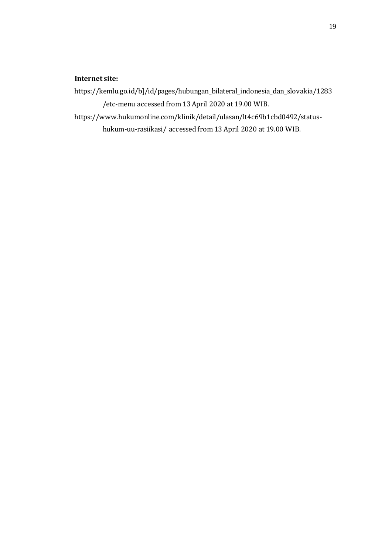# **Internet site:**

- https://kemlu.go.id/b]/id/pages/hubungan\_bilateral\_indonesia\_dan\_slovakia/1283 /etc-menu accessed from 13 April 2020 at 19.00 WIB.
- https://www.hukumonline.com/klinik/detail/ulasan/lt4c69b1cbd0492/statushukum-uu-rasiikasi/ accessed from 13 April 2020 at 19.00 WIB.